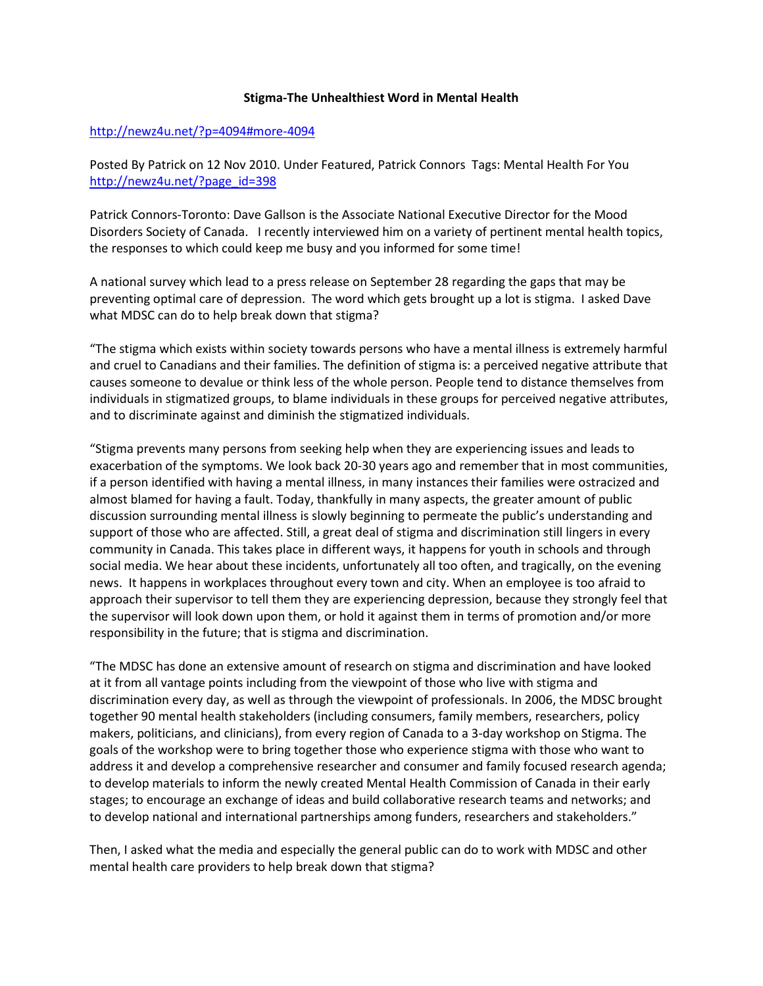## **Stigma-The Unhealthiest Word in Mental Health**

## <http://newz4u.net/?p=4094#more-4094>

Posted By Patrick on 12 Nov 2010. Under Featured, Patrick Connors Tags: Mental Health For You [http://newz4u.net/?page\\_id=398](http://newz4u.net/?page_id=398)

Patrick Connors-Toronto: Dave Gallson is the Associate National Executive Director for the Mood Disorders Society of Canada. I recently interviewed him on a variety of pertinent mental health topics, the responses to which could keep me busy and you informed for some time!

A national survey which lead to a press release on September 28 regarding the gaps that may be preventing optimal care of depression. The word which gets brought up a lot is stigma. I asked Dave what MDSC can do to help break down that stigma?

"The stigma which exists within society towards persons who have a mental illness is extremely harmful and cruel to Canadians and their families. The definition of stigma is: a perceived negative attribute that causes someone to devalue or think less of the whole person. People tend to distance themselves from individuals in stigmatized groups, to blame individuals in these groups for perceived negative attributes, and to discriminate against and diminish the stigmatized individuals.

"Stigma prevents many persons from seeking help when they are experiencing issues and leads to exacerbation of the symptoms. We look back 20-30 years ago and remember that in most communities, if a person identified with having a mental illness, in many instances their families were ostracized and almost blamed for having a fault. Today, thankfully in many aspects, the greater amount of public discussion surrounding mental illness is slowly beginning to permeate the public's understanding and support of those who are affected. Still, a great deal of stigma and discrimination still lingers in every community in Canada. This takes place in different ways, it happens for youth in schools and through social media. We hear about these incidents, unfortunately all too often, and tragically, on the evening news. It happens in workplaces throughout every town and city. When an employee is too afraid to approach their supervisor to tell them they are experiencing depression, because they strongly feel that the supervisor will look down upon them, or hold it against them in terms of promotion and/or more responsibility in the future; that is stigma and discrimination.

"The MDSC has done an extensive amount of research on stigma and discrimination and have looked at it from all vantage points including from the viewpoint of those who live with stigma and discrimination every day, as well as through the viewpoint of professionals. In 2006, the MDSC brought together 90 mental health stakeholders (including consumers, family members, researchers, policy makers, politicians, and clinicians), from every region of Canada to a 3-day workshop on Stigma. The goals of the workshop were to bring together those who experience stigma with those who want to address it and develop a comprehensive researcher and consumer and family focused research agenda; to develop materials to inform the newly created Mental Health Commission of Canada in their early stages; to encourage an exchange of ideas and build collaborative research teams and networks; and to develop national and international partnerships among funders, researchers and stakeholders."

Then, I asked what the media and especially the general public can do to work with MDSC and other mental health care providers to help break down that stigma?